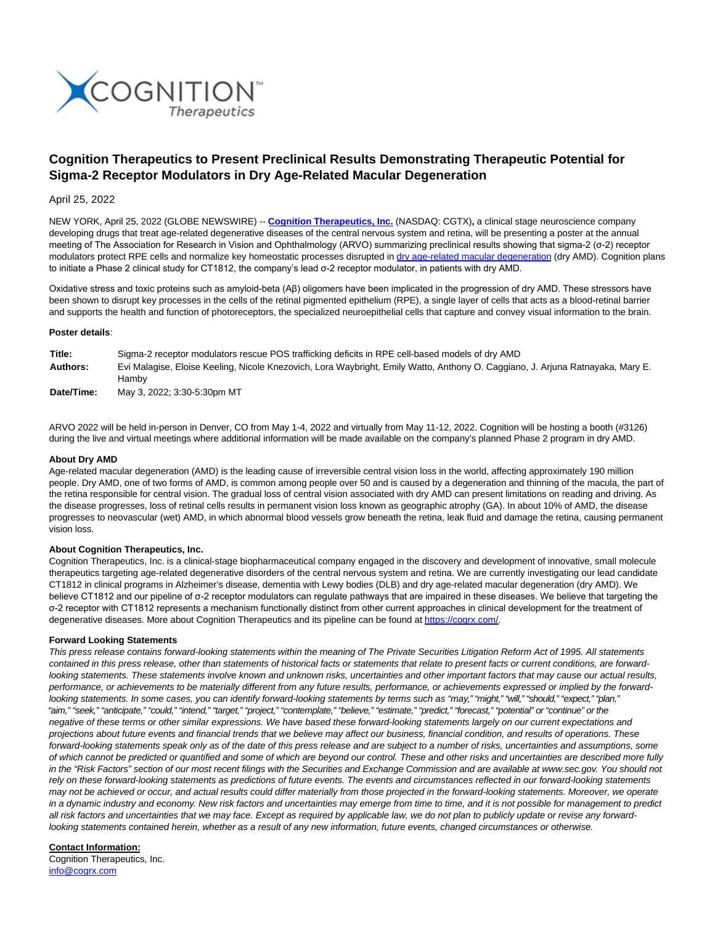

# **Cognition Therapeutics to Present Preclinical Results Demonstrating Therapeutic Potential for Sigma-2 Receptor Modulators in Dry Age-Related Macular Degeneration**

# April 25, 2022

NEW YORK, April 25, 2022 (GLOBE NEWSWIRE) -- **[Cognition](https://www.globenewswire.com/Tracker?data=7VBiRei4ifhJBNj5eqcV6Jq62TkLd95MzJRjXoGzYXi4--jaXo3YYtQNtQNttmB0Y05-WP6sZuguKLjmTIaq3DgpXN3YOCXr-1wmsf6RVUtA72JROLJZyM3WPbGNqHI87APJKFxw0csmkalTJAjyog==) [Therapeutics,](https://www.globenewswire.com/Tracker?data=zPLCagcbRtK9tmo4pju-KIFT_W7glp-DaCp4oa15fZpu8ViB7BOGta3u3Zbdappv8MXLQtr27-Kjgc1Beg14-ASXkTNoWRwufNDEIFwle-zqqMlnqyx7_XW7YMNV0OHmcoaoiR8LZEknFZITKA6H1A==) [Inc.](https://www.globenewswire.com/Tracker?data=Gs6QCvi9p9PADMxvEhllDi3B5VgUv_7MAokay99uZVjyHqL_NjWsOHJrHRrqTOgmpD7JF9I25jl8oJnruK-GtDrRtWU0Dm_F71xRJIxbbZWhKuV0cJWE7yKHL7ND6S23z9R_mI-Jk3v2z6SMi8mFag==)** (NASDAQ: CGTX)**,** a clinical stage neuroscience company developing drugs that treat age-related degenerative diseases of the central nervous system and retina, will be presenting a poster at the annual meeting of The Association for Research in Vision and Ophthalmology (ARVO) summarizing preclinical results showing that sigma-2 (σ-2) receptor modulators protect RPE cells and normalize key homeostatic processes disrupted in [dry age-related macular degeneration \(](https://www.globenewswire.com/Tracker?data=OhnEfz3HgN-vNvDWL98pi4f5ejuKMmiXfGCXxAv2Al65Rwt0Gn2SK3rPo_RahV9zIaJtfn8dDtdJynxTfVUT7NcqOy-hBCPs0URn83sLMiZH8cPFsYI2YqG5UiT28khck164WAgCM8IqkkVBzXpwzJyozEVUUjWk6yaXG7zcCKA=)dry AMD). Cognition plans to initiate a Phase 2 clinical study for CT1812, the company's lead σ-2 receptor modulator, in patients with dry AMD.

Oxidative stress and toxic proteins such as amyloid-beta (Aβ) oligomers have been implicated in the progression of dry AMD. These stressors have been shown to disrupt key processes in the cells of the retinal pigmented epithelium (RPE), a single layer of cells that acts as a blood-retinal barrier and supports the health and function of photoreceptors, the specialized neuroepithelial cells that capture and convey visual information to the brain.

#### **Poster details**:

**Title:** Sigma-2 receptor modulators rescue POS trafficking deficits in RPE cell-based models of dry AMD **Authors:** Evi Malagise, Eloise Keeling, Nicole Knezovich, Lora Waybright, Emily Watto, Anthony O. Caggiano, J. Arjuna Ratnayaka, Mary E. Hamby **Date/Time:** May 3, 2022; 3:30-5:30pm MT

ARVO 2022 will be held in-person in Denver, CO from May 1-4, 2022 and virtually from May 11-12, 2022. Cognition will be hosting a booth (#3126) during the live and virtual meetings where additional information will be made available on the company's planned Phase 2 program in dry AMD.

### **About Dry AMD**

Age-related macular degeneration (AMD) is the leading cause of irreversible central vision loss in the world, affecting approximately 190 million people. Dry AMD, one of two forms of AMD, is common among people over 50 and is caused by a degeneration and thinning of the macula, the part of the retina responsible for central vision. The gradual loss of central vision associated with dry AMD can present limitations on reading and driving. As the disease progresses, loss of retinal cells results in permanent vision loss known as geographic atrophy (GA). In about 10% of AMD, the disease progresses to neovascular (wet) AMD, in which abnormal blood vessels grow beneath the retina, leak fluid and damage the retina, causing permanent vision loss.

# **About Cognition Therapeutics, Inc.**

Cognition Therapeutics, Inc. is a clinical-stage biopharmaceutical company engaged in the discovery and development of innovative, small molecule therapeutics targeting age-related degenerative disorders of the central nervous system and retina. We are currently investigating our lead candidate CT1812 in clinical programs in Alzheimer's disease, dementia with Lewy bodies (DLB) and dry age-related macular degeneration (dry AMD). We believe CT1812 and our pipeline of σ-2 receptor modulators can regulate pathways that are impaired in these diseases. We believe that targeting the σ-2 receptor with CT1812 represents a mechanism functionally distinct from other current approaches in clinical development for the treatment of degenerative diseases. More about Cognition Therapeutics and its pipeline can be found at [https://cogrx.com/.](https://www.globenewswire.com/Tracker?data=U-HBiiG82V9a0Zi5yv5o8tLErzYxZKz7O3xQXO1RfAu3QNhUrP_vW46HspxXtFYGDo9VgSnqG1Izu5x4eWJ2KQ==)

# **Forward Looking Statements**

This press release contains forward-looking statements within the meaning of The Private Securities Litigation Reform Act of 1995. All statements contained in this press release, other than statements of historical facts or statements that relate to present facts or current conditions, are forwardlooking statements. These statements involve known and unknown risks, uncertainties and other important factors that may cause our actual results, performance, or achievements to be materially different from any future results, performance, or achievements expressed or implied by the forwardlooking statements. In some cases, you can identify forward-looking statements by terms such as "may," "might," "will," "should," "expect," "plan," "aim," "seek," "anticipate," "could," "intend," "target," "project," "contemplate," "believe," "estimate," "predict," "forecast," "potential" or "continue" or the negative of these terms or other similar expressions. We have based these forward-looking statements largely on our current expectations and projections about future events and financial trends that we believe may affect our business, financial condition, and results of operations. These forward-looking statements speak only as of the date of this press release and are subject to a number of risks, uncertainties and assumptions, some of which cannot be predicted or quantified and some of which are beyond our control. These and other risks and uncertainties are described more fully in the "Risk Factors" section of our most recent filings with the Securities and Exchange Commission and are available at www.sec.gov. You should not rely on these forward-looking statements as predictions of future events. The events and circumstances reflected in our forward-looking statements may not be achieved or occur, and actual results could differ materially from those projected in the forward-looking statements. Moreover, we operate in a dynamic industry and economy. New risk factors and uncertainties may emerge from time to time, and it is not possible for management to predict all risk factors and uncertainties that we may face. Except as required by applicable law, we do not plan to publicly update or revise any forwardlooking statements contained herein, whether as a result of any new information, future events, changed circumstances or otherwise.

#### **Contact Information:**

Cognition Therapeutics, Inc. [info@cogrx.com](https://www.globenewswire.com/Tracker?data=6_6y7Usx8gj2sNcunebQ1UrWqbIwu8-Bdeufb6WguU8KVfWbvvhoV3xR67AAcJj3BxDBf9KRuciWVsplzOQBQg==)